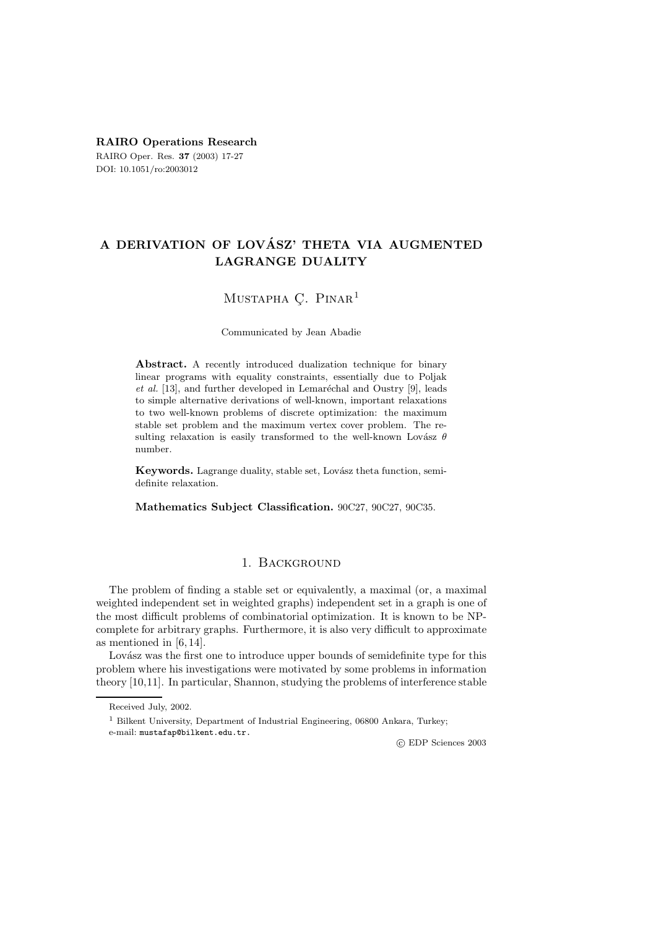## **RAIRO Operations Research**

RAIRO Oper. Res. **37** (2003) 17-27 DOI: 10.1051/ro:2003012

# **A DERIVATION OF LOVASZ' THETA VIA AUGMENTED ´ LAGRANGE DUALITY**

## MUSTAPHA C. PINAR<sup>1</sup>

Communicated by Jean Abadie

**Abstract.** A recently introduced dualization technique for binary linear programs with equality constraints, essentially due to Poljak *et al.* [13], and further developed in Lemaréchal and Oustry [9], leads to simple alternative derivations of well-known, important relaxations to two well-known problems of discrete optimization: the maximum stable set problem and the maximum vertex cover problem. The resulting relaxation is easily transformed to the well-known Lovász  $\theta$ number.

**Keywords.** Lagrange duality, stable set, Lovász theta function, semidefinite relaxation.

**Mathematics Subject Classification.** 90C27, 90C27, 90C35.

## 1. Background

The problem of finding a stable set or equivalently, a maximal (or, a maximal weighted independent set in weighted graphs) independent set in a graph is one of the most difficult problems of combinatorial optimization. It is known to be NPcomplete for arbitrary graphs. Furthermore, it is also very difficult to approximate as mentioned in [6, 14].

Lovász was the first one to introduce upper bounds of semidefinite type for this problem where his investigations were motivated by some problems in information theory [10,11]. In particular, Shannon, studying the problems of interference stable

<sup>1</sup> Bilkent University, Department of Industrial Engineering, 06800 Ankara, Turkey;

e-mail: mustafap@bilkent.edu.tr.

Received July, 2002.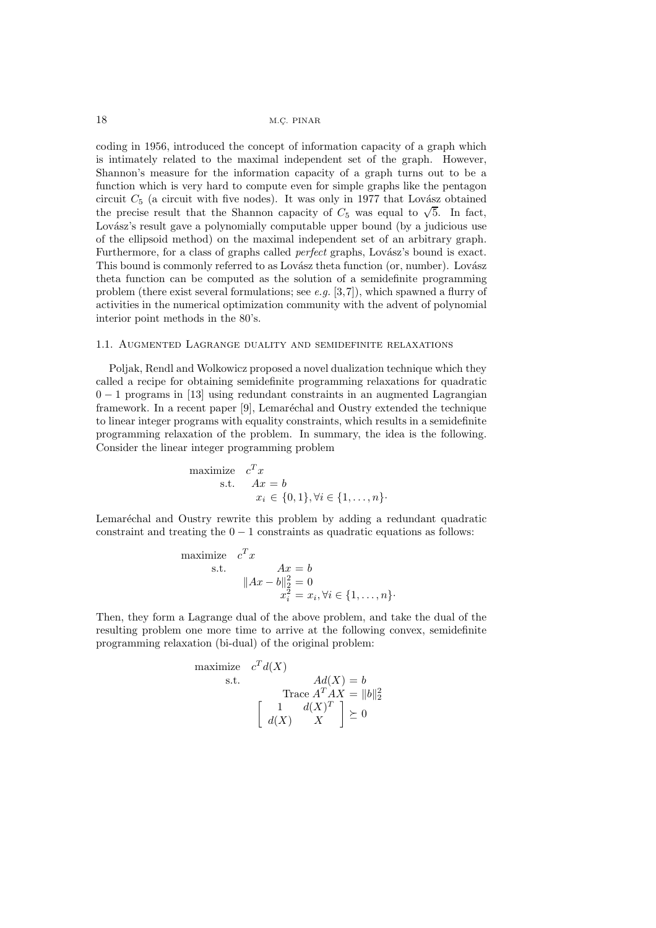coding in 1956, introduced the concept of information capacity of a graph which is intimately related to the maximal independent set of the graph. However, Shannon's measure for the information capacity of a graph turns out to be a function which is very hard to compute even for simple graphs like the pentagon circuit  $C_5$  (a circuit with five nodes). It was only in 1977 that Lovász obtained the precise result that the Shannon capacity of  $C_5$  was equal to  $\sqrt{5}$ . In fact, Lovász's result gave a polynomially computable upper bound (by a judicious use of the ellipsoid method) on the maximal independent set of an arbitrary graph. Furthermore, for a class of graphs called *perfect* graphs, Lovász's bound is exact. This bound is commonly referred to as Lovász theta function (or, number). Lovász theta function can be computed as the solution of a semidefinite programming problem (there exist several formulations; see *e.g.* [3,7]), which spawned a flurry of activities in the numerical optimization community with the advent of polynomial interior point methods in the 80's.

#### 1.1. Augmented Lagrange duality and semidefinite relaxations

Poljak, Rendl and Wolkowicz proposed a novel dualization technique which they called a recipe for obtaining semidefinite programming relaxations for quadratic  $0 - 1$  programs in [13] using redundant constraints in an augmented Lagrangian framework. In a recent paper [9], Lemaréchal and Oustry extended the technique to linear integer programs with equality constraints, which results in a semidefinite programming relaxation of the problem. In summary, the idea is the following. Consider the linear integer programming problem

maximize 
$$
c^T x
$$
  
\ns.t.  $Ax = b$   
\n $x_i \in \{0, 1\}, \forall i \in \{1, ..., n\}.$ 

Lemaréchal and Oustry rewrite this problem by adding a redundant quadratic constraint and treating the  $0 - 1$  constraints as quadratic equations as follows:

maximize 
$$
c^T x
$$
  
\ns.t.  $Ax = b$   
\n
$$
||Ax - b||_2^2 = 0
$$
\n
$$
x_i^2 = x_i, \forall i \in \{1, ..., n\}.
$$

Then, they form a Lagrange dual of the above problem, and take the dual of the resulting problem one more time to arrive at the following convex, semidefinite programming relaxation (bi-dual) of the original problem:

maximize 
$$
c^T d(X)
$$
  
\ns.t.  $Ad(X) = b$   
\nTrace  $A^T A X = ||b||_2^2$   
\n
$$
\begin{bmatrix}\n1 & d(X)^T \\
d(X) & X\n\end{bmatrix} \succeq 0
$$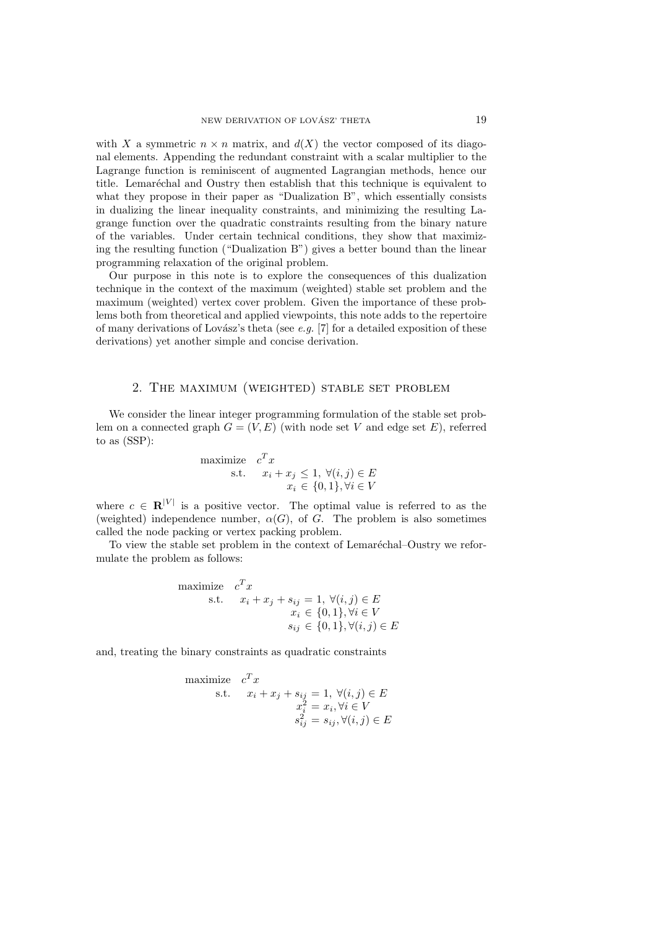with X a symmetric  $n \times n$  matrix, and  $d(X)$  the vector composed of its diagonal elements. Appending the redundant constraint with a scalar multiplier to the Lagrange function is reminiscent of augmented Lagrangian methods, hence our title. Lemaréchal and Oustry then establish that this technique is equivalent to what they propose in their paper as "Dualization B", which essentially consists in dualizing the linear inequality constraints, and minimizing the resulting Lagrange function over the quadratic constraints resulting from the binary nature of the variables. Under certain technical conditions, they show that maximizing the resulting function ("Dualization B") gives a better bound than the linear programming relaxation of the original problem.

Our purpose in this note is to explore the consequences of this dualization technique in the context of the maximum (weighted) stable set problem and the maximum (weighted) vertex cover problem. Given the importance of these problems both from theoretical and applied viewpoints, this note adds to the repertoire of many derivations of Lovász's theta (see  $e.g.$  [7] for a detailed exposition of these derivations) yet another simple and concise derivation.

### 2. The maximum (weighted) stable set problem

We consider the linear integer programming formulation of the stable set problem on a connected graph  $G = (V, E)$  (with node set V and edge set E), referred to as (SSP):

maximize 
$$
c^T x
$$
  
\ns.t.  $x_i + x_j \leq 1, \forall (i, j) \in E$   
\n $x_i \in \{0, 1\}, \forall i \in V$ 

where  $c \in \mathbb{R}^{|V|}$  is a positive vector. The optimal value is referred to as the (weighted) independence number,  $\alpha(G)$ , of G. The problem is also sometimes called the node packing or vertex packing problem.

To view the stable set problem in the context of Lemaréchal–Oustry we reformulate the problem as follows:

maximize 
$$
c^T x
$$
  
\ns.t.  $x_i + x_j + s_{ij} = 1, \forall (i, j) \in E$   
\n $x_i \in \{0, 1\}, \forall i \in V$   
\n $s_{ij} \in \{0, 1\}, \forall (i, j) \in E$ 

and, treating the binary constraints as quadratic constraints

maximize 
$$
c^T x
$$
  
\ns.t.  $x_i + x_j + s_{ij} = 1, \forall (i, j) \in E$   
\n $x_i^2 = x_i, \forall i \in V$   
\n $s_{ij}^2 = s_{ij}, \forall (i, j) \in E$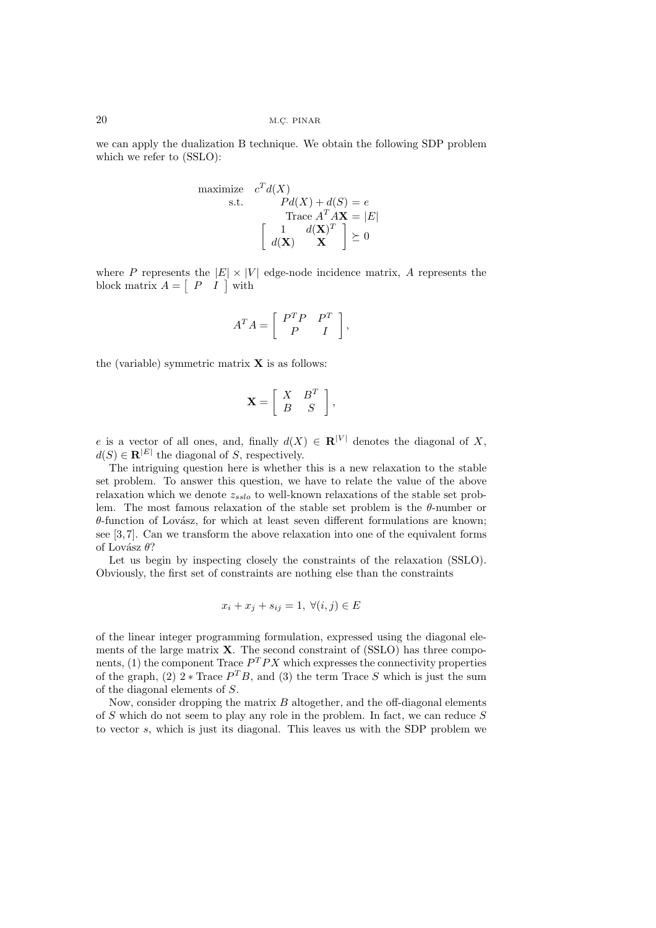we can apply the dualization B technique. We obtain the following SDP problem which we refer to (SSLO):

maximize 
$$
c^T d(X)
$$
  
\ns.t.  $Pd(X) + d(S) = e$   
\nTrace  $A^T A X = |E|$   
\n
$$
\begin{bmatrix}\n1 & d(X)^T \\
d(X) & X\n\end{bmatrix} \succeq 0
$$

where P represents the  $|E| \times |V|$  edge-node incidence matrix, A represents the block matrix  $A = \begin{bmatrix} P & I \end{bmatrix}$  with

$$
A^T A = \left[ \begin{array}{cc} P^T P & P^T \\ P & I \end{array} \right],
$$

the (variable) symmetric matrix  $X$  is as follows:

$$
\mathbf{X} = \left[ \begin{array}{cc} X & B^T \\ B & S \end{array} \right],
$$

e is a vector of all ones, and, finally  $d(X) \in \mathbb{R}^{|V|}$  denotes the diagonal of X,  $d(S) \in \mathbb{R}^{|E|}$  the diagonal of S, respectively.

The intriguing question here is whether this is a new relaxation to the stable set problem. To answer this question, we have to relate the value of the above relaxation which we denote z*sslo* to well-known relaxations of the stable set problem. The most famous relaxation of the stable set problem is the  $\theta$ -number or  $\theta$ -function of Lovász, for which at least seven different formulations are known; see [3, 7]. Can we transform the above relaxation into one of the equivalent forms of Lovász  $\theta$ ?

Let us begin by inspecting closely the constraints of the relaxation (SSLO). Obviously, the first set of constraints are nothing else than the constraints

$$
x_i + x_j + s_{ij} = 1, \ \forall (i, j) \in E
$$

of the linear integer programming formulation, expressed using the diagonal elements of the large matrix **X**. The second constraint of (SSLO) has three components, (1) the component Trace  $P^{T}PX$  which expresses the connectivity properties of the graph,  $(2)$  2 \* Trace  $P<sup>T</sup>B$ , and  $(3)$  the term Trace S which is just the sum of the diagonal elements of S.

Now, consider dropping the matrix  $B$  altogether, and the off-diagonal elements of S which do not seem to play any role in the problem. In fact, we can reduce S to vector s, which is just its diagonal. This leaves us with the SDP problem we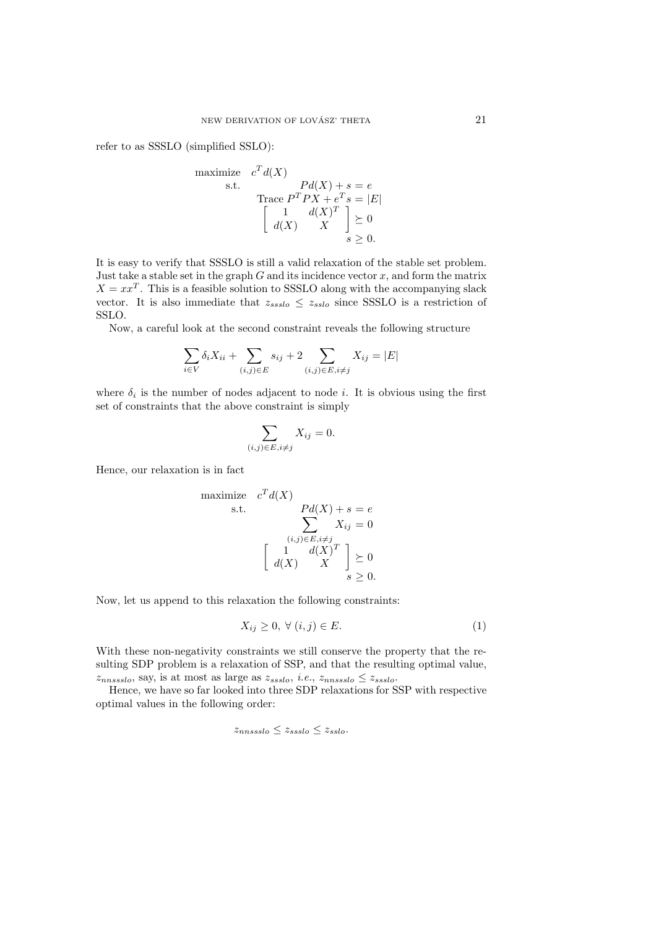refer to as SSSLO (simplified SSLO):

maximize 
$$
c^T d(X)
$$
  
\ns.t.  $Pd(X) + s = e$   
\nTrace  $P^T P X + e^T s = |E|$   
\n
$$
\begin{bmatrix}\n1 & d(X)^T \\
d(X) & X\n\end{bmatrix} \geq 0
$$
\n $s \geq 0.$ 

It is easy to verify that SSSLO is still a valid relaxation of the stable set problem. Just take a stable set in the graph  $G$  and its incidence vector  $x$ , and form the matrix  $X = xx<sup>T</sup>$ . This is a feasible solution to SSSLO along with the accompanying slack vector. It is also immediate that  $z_{ssslo} \le z_{sslo}$  since SSSLO is a restriction of SSLO.

Now, a careful look at the second constraint reveals the following structure

$$
\sum_{i \in V} \delta_i X_{ii} + \sum_{(i,j) \in E} s_{ij} + 2 \sum_{(i,j) \in E, i \neq j} X_{ij} = |E|
$$

where  $\delta_i$  is the number of nodes adjacent to node *i*. It is obvious using the first set of constraints that the above constraint is simply

$$
\sum_{(i,j)\in E, i\neq j} X_{ij} = 0.
$$

Hence, our relaxation is in fact

maximize 
$$
c^T d(X)
$$
  
\ns.t. 
$$
\sum_{(i,j)\in E, i\neq j} Pd(X) + s = e
$$

$$
\sum_{(i,j)\in E, i\neq j} X_{ij} = 0
$$

$$
\begin{bmatrix} 1 & d(X)^T \\ d(X) & X \end{bmatrix} \geq 0
$$

$$
s \geq 0.
$$

Now, let us append to this relaxation the following constraints:

$$
X_{ij} \ge 0, \ \forall \ (i,j) \in E. \tag{1}
$$

With these non-negativity constraints we still conserve the property that the resulting SDP problem is a relaxation of SSP, and that the resulting optimal value,  $z_{n,nssslo}$ , say, is at most as large as  $z_{ssslo}$ , *i.e.*,  $z_{n,nssslo} \le z_{ssslo}$ .

Hence, we have so far looked into three SDP relaxations for SSP with respective optimal values in the following order:

$$
z_{nnssslo} \le z_{ssslo} \le z_{sslo}.
$$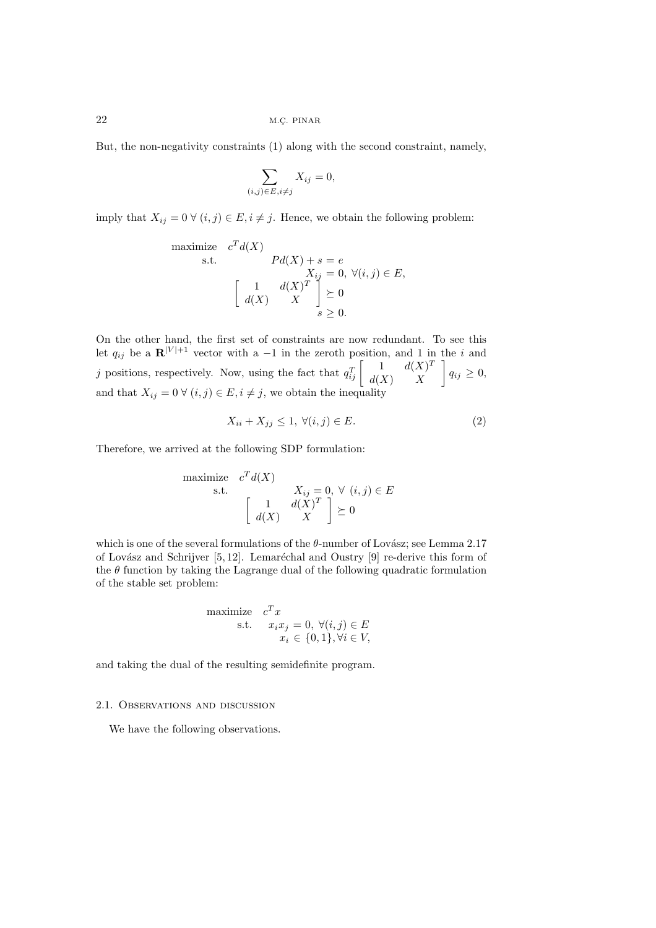But, the non-negativity constraints (1) along with the second constraint, namely,

$$
\sum_{(i,j)\in E, i\neq j} X_{ij} = 0,
$$

imply that  $X_{ij} = 0 \ \forall \ (i, j) \in E, i \neq j$ . Hence, we obtain the following problem:

maximize 
$$
c^T d(X)
$$
  
\ns.t.  $Pd(X) + s = e$   
\n $X_{ij} = 0, \forall (i, j) \in E,$   
\n
$$
\begin{bmatrix}\n1 & d(X)^T \\
d(X) & X\n\end{bmatrix} \geq 0
$$
\n $s \geq 0.$ 

On the other hand, the first set of constraints are now redundant. To see this let  $q_{ij}$  be a  $\mathbf{R}^{|V|+1}$  vector with a -1 in the zeroth position, and 1 in the i and j positions, respectively. Now, using the fact that  $q_{ij}^T \begin{bmatrix} 1 & d(X)^T \\ d(X) & X \end{bmatrix}$  $q_{ij} \geq 0$ and that  $X_{ij} = 0 \ \forall \ (i, j) \in E, i \neq j$ , we obtain the inequality

$$
X_{ii} + X_{jj} \le 1, \ \forall (i, j) \in E. \tag{2}
$$

Therefore, we arrived at the following SDP formulation:

maximize 
$$
c^T d(X)
$$
  
\ns.t.  $X_{ij} = 0, \forall (i, j) \in E$   
\n
$$
\begin{bmatrix}\n1 & d(X)^T \\
d(X) & X\n\end{bmatrix} \succeq 0
$$

which is one of the several formulations of the  $\theta$ -number of Lovász; see Lemma 2.17 of Lovász and Schrijver  $[5, 12]$ . Lemaréchal and Oustry  $[9]$  re-derive this form of the  $\theta$  function by taking the Lagrange dual of the following quadratic formulation of the stable set problem:

maximize 
$$
c^T x
$$
  
s.t.  $x_i x_j = 0, \forall (i, j) \in E$   
 $x_i \in \{0, 1\}, \forall i \in V$ ,

and taking the dual of the resulting semidefinite program.

#### 2.1. Observations and discussion

We have the following observations.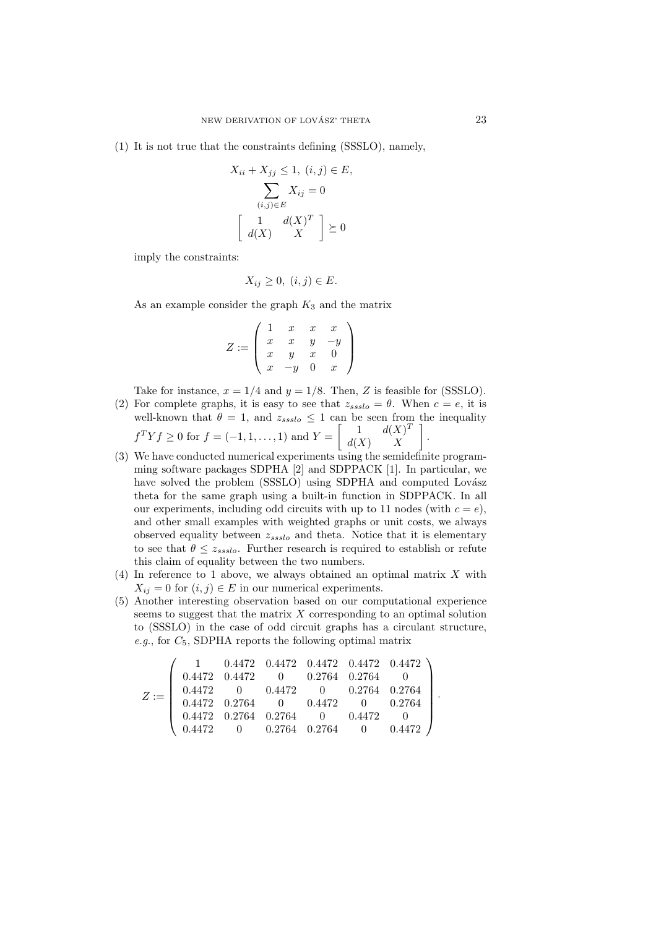(1) It is not true that the constraints defining (SSSLO), namely,

$$
X_{ii} + X_{jj} \le 1, (i, j) \in E,
$$
  

$$
\sum_{(i,j) \in E} X_{ij} = 0
$$
  

$$
\begin{bmatrix} 1 & d(X)^T \\ d(X) & X \end{bmatrix} \succeq 0
$$

imply the constraints:

$$
X_{ij} \ge 0, \ (i,j) \in E.
$$

As an example consider the graph  $K_3$  and the matrix

$$
Z := \left( \begin{array}{cccc} 1 & x & x & x \\ x & x & y & -y \\ x & y & x & 0 \\ x & -y & 0 & x \end{array} \right)
$$

Take for instance,  $x = 1/4$  and  $y = 1/8$ . Then, Z is feasible for (SSSLO).

- (2) For complete graphs, it is easy to see that  $z_{ssslo} = \theta$ . When  $c = e$ , it is well-known that  $\theta = 1$ , and  $z_{ssslo} \leq 1$  can be seen from the inequality  $f^T Y f \ge 0$  for  $f = (-1, 1, \ldots, 1)$  and  $Y = \begin{bmatrix} 1 & d(X)^T \\ d(Y) & Y \end{bmatrix}$  $d(X)$  X - .
- (3) We have conducted numerical experiments using the semidefinite programming software packages SDPHA [2] and SDPPACK [1]. In particular, we have solved the problem (SSSLO) using SDPHA and computed Lovász theta for the same graph using a built-in function in SDPPACK. In all our experiments, including odd circuits with up to 11 nodes (with  $c = e$ ), and other small examples with weighted graphs or unit costs, we always observed equality between z*ssslo* and theta. Notice that it is elementary to see that  $\theta \leq z_{ssslo}$ . Further research is required to establish or refute this claim of equality between the two numbers.
- (4) In reference to 1 above, we always obtained an optimal matrix  $X$  with  $X_{ij} = 0$  for  $(i, j) \in E$  in our numerical experiments.
- (5) Another interesting observation based on our computational experience seems to suggest that the matrix X corresponding to an optimal solution to (SSSLO) in the case of odd circuit graphs has a circulant structure, *e.g.*, for  $C_5$ , SDPHA reports the following optimal matrix

$$
Z:=\left(\begin{array}{cccccc} 1 & 0.4472 & 0.4472 & 0.4472 & 0.4472 & 0.4472 \\ 0.4472 & 0.4472 & 0 & 0.2764 & 0.2764 & 0 \\ 0.4472 & 0 & 0.4472 & 0 & 0.2764 & 0.2764 \\ 0.4472 & 0.2764 & 0 & 0.4472 & 0 & 0.2764 \\ 0.4472 & 0.2764 & 0.2764 & 0 & 0.4472 & 0 \\ 0.4472 & 0 & 0.2764 & 0.2764 & 0 & 0.4472 \end{array}\right)
$$

·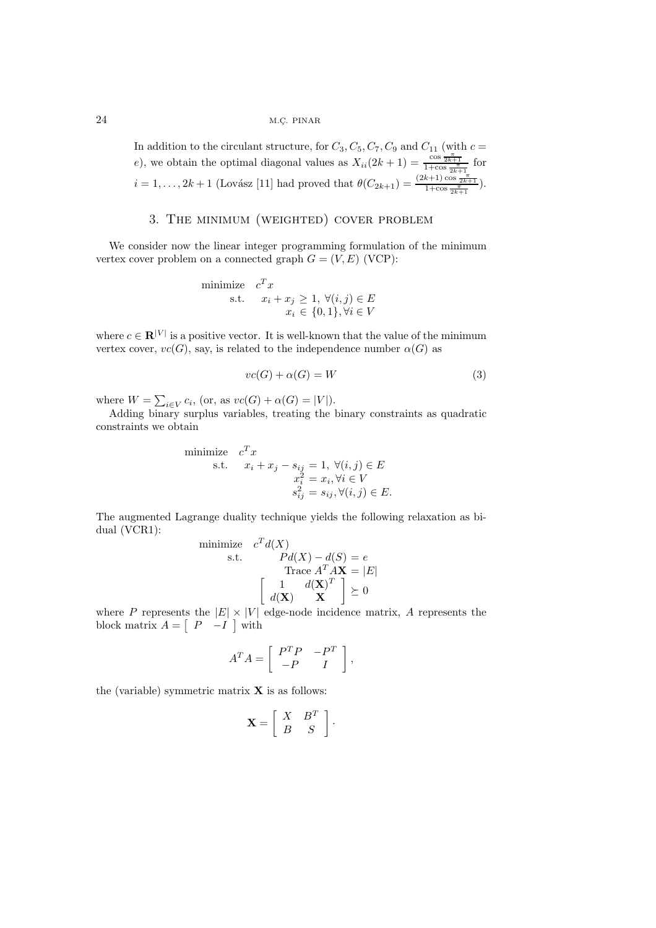In addition to the circulant structure, for  $C_3, C_5, C_7, C_9$  and  $C_{11}$  (with  $c =$ e), we obtain the optimal diagonal values as  $X_{ii}(2k+1) = \frac{\cos \frac{\pi}{2k+1}}{1+\cos \frac{\pi}{2k+1}}$  for  $i = 1, ..., 2k + 1$  (Lovász [11] had proved that  $\theta(C_{2k+1}) = \frac{(2k+1)\cos\frac{\pi}{2k+1}}{1+\cos\frac{\pi}{2k+1}}$ ).

## 3. The minimum (weighted) cover problem

We consider now the linear integer programming formulation of the minimum vertex cover problem on a connected graph  $G = (V, E)$  (VCP):

minimize 
$$
c^T x
$$
  
s.t.  $x_i + x_j \ge 1, \forall (i, j) \in E$   
 $x_i \in \{0, 1\}, \forall i \in V$ 

where  $c \in \mathbf{R}^{|V|}$  is a positive vector. It is well-known that the value of the minimum vertex cover,  $vc(G)$ , say, is related to the independence number  $\alpha(G)$  as

$$
vc(G) + \alpha(G) = W \tag{3}
$$

where  $W = \sum_{i \in V} c_i$ , (or, as  $vc(G) + \alpha(G) = |V|$ ).

Adding binary surplus variables, treating the binary constraints as quadratic constraints we obtain

minimize 
$$
c^T x
$$
  
\ns.t.  $x_i + x_j - s_{ij} = 1, \forall (i, j) \in E$   
\n $x_i^2 = x_i, \forall i \in V$   
\n $s_{ij}^2 = s_{ij}, \forall (i, j) \in E$ .

The augmented Lagrange duality technique yields the following relaxation as bidual (VCR1):

minimize 
$$
c^T d(X)
$$
  
\ns.t.  $Pd(X) - d(S) = e$   
\nTrace  $A^T A X = |E|$   
\n
$$
\begin{bmatrix} 1 & d(X)^T \\ d(X) & X \end{bmatrix} \succeq 0
$$

where P represents the  $|E| \times |V|$  edge-node incidence matrix, A represents the block matrix  $A = \begin{bmatrix} P & -I \end{bmatrix}$  with

$$
A^T A = \left[ \begin{array}{cc} P^T P & -P^T \\ -P & I \end{array} \right],
$$

the (variable) symmetric matrix **X** is as follows:

$$
\mathbf{X} = \left[ \begin{array}{cc} X & B^T \\ B & S \end{array} \right].
$$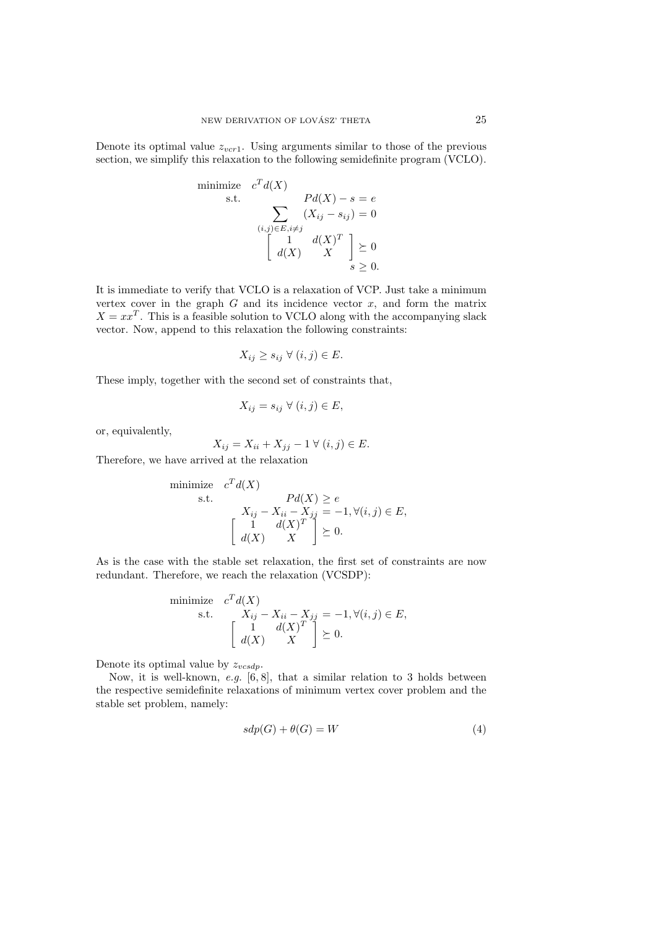Denote its optimal value  $z_{vcr1}$ . Using arguments similar to those of the previous section, we simplify this relaxation to the following semidefinite program (VCLO).

minimize 
$$
c^T d(X)
$$
  
\ns.t.  $Pd(X) - s = e$   
\n
$$
\sum_{(i,j) \in E, i \neq j} (X_{ij} - s_{ij}) = 0
$$
\n
$$
\begin{bmatrix}\n1 & d(X)^T \\
d(X) & X\n\end{bmatrix} \geq 0
$$
\n $s \geq 0.$ 

It is immediate to verify that VCLO is a relaxation of VCP. Just take a minimum vertex cover in the graph  $G$  and its incidence vector  $x$ , and form the matrix  $X = xx<sup>T</sup>$ . This is a feasible solution to VCLO along with the accompanying slack vector. Now, append to this relaxation the following constraints:

$$
X_{ij} \ge s_{ij} \ \forall \ (i,j) \in E.
$$

These imply, together with the second set of constraints that,

$$
X_{ij} = s_{ij} \ \forall \ (i,j) \in E,
$$

or, equivalently,

$$
X_{ij} = X_{ii} + X_{jj} - 1 \ \forall \ (i, j) \in E.
$$

Therefore, we have arrived at the relaxation

minimize 
$$
c^T d(X)
$$
  
\ns.t.  $Pd(X) \ge e$   
\n $X_{ij} - X_{ii} - X_{jj} = -1, \forall (i, j) \in E$ ,  
\n
$$
\begin{bmatrix} 1 & d(X)^T \\ d(X) & X \end{bmatrix} \succeq 0.
$$

As is the case with the stable set relaxation, the first set of constraints are now redundant. Therefore, we reach the relaxation (VCSDP):

minimize 
$$
c^T d(X)
$$
  
\ns.t.  $X_{ij} - X_{ii} - X_{jj} = -1, \forall (i, j) \in E$ ,  
\n
$$
\begin{bmatrix} 1 & d(X)^T \\ d(X) & X \end{bmatrix} \succeq 0.
$$

Denote its optimal value by z*vcsdp*.

Now, it is well-known, *e.g.* [6, 8], that a similar relation to 3 holds between the respective semidefinite relaxations of minimum vertex cover problem and the stable set problem, namely:

$$
sdp(G) + \theta(G) = W \tag{4}
$$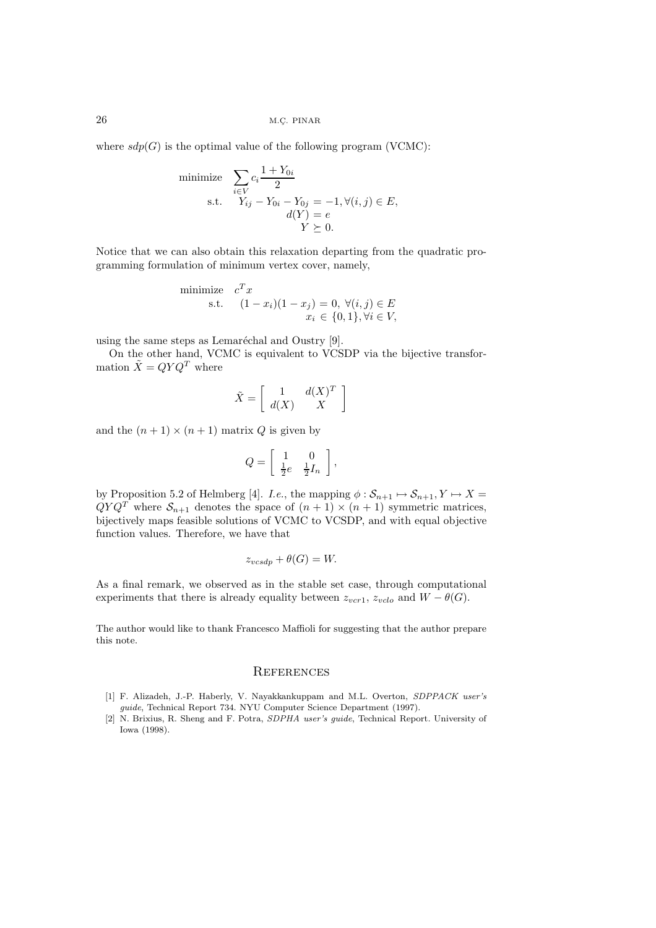where  $sdp(G)$  is the optimal value of the following program (VCMC):

minimize 
$$
\sum_{i \in V} c_i \frac{1 + Y_{0i}}{2}
$$
  
s.t. 
$$
Y_{ij} - Y_{0i} - Y_{0j} = -1, \forall (i, j) \in E,
$$

$$
d(Y) = e
$$

$$
Y \succeq 0.
$$

Notice that we can also obtain this relaxation departing from the quadratic programming formulation of minimum vertex cover, namely,

minimize 
$$
c^T x
$$
  
s.t.  $(1 - x_i)(1 - x_j) = 0, \forall (i, j) \in E$   
 $x_i \in \{0, 1\}, \forall i \in V$ ,

using the same steps as Lemaréchal and Oustry  $[9]$ .

On the other hand, VCMC is equivalent to VCSDP via the bijective transformation  $\tilde{X} = QYQ^T$  where

$$
\tilde{X} = \left[ \begin{array}{cc} 1 & d(X)^T \\ d(X) & X \end{array} \right]
$$

and the  $(n + 1) \times (n + 1)$  matrix Q is given by

$$
Q = \left[ \begin{array}{cc} 1 & 0 \\ \frac{1}{2}e & \frac{1}{2}I_n \end{array} \right],
$$

by Proposition 5.2 of Helmberg [4]. *I.e.*, the mapping  $\phi : S_{n+1} \mapsto S_{n+1}, Y \mapsto X = OVO^T$  where  $S_{n+1}$  denotes the space of  $(n+1) \times (n+1)$  symmetric matrices  $QYQ^T$  where  $S_{n+1}$  denotes the space of  $(n+1) \times (n+1)$  symmetric matrices, bijectively maps feasible solutions of VCMC to VCSDP, and with equal objective function values. Therefore, we have that

$$
z_{vcsdp} + \theta(G) = W.
$$

As a final remark, we observed as in the stable set case, through computational experiments that there is already equality between  $z_{vcr1}$ ,  $z_{vclo}$  and  $W - \theta(G)$ .

The author would like to thank Francesco Maffioli for suggesting that the author prepare this note.

## **REFERENCES**

- [1] F. Alizadeh, J.-P. Haberly, V. Nayakkankuppam and M.L. Overton, SDPPACK user's guide, Technical Report 734. NYU Computer Science Department (1997).
- [2] N. Brixius, R. Sheng and F. Potra, SDPHA user's guide, Technical Report. University of Iowa (1998).